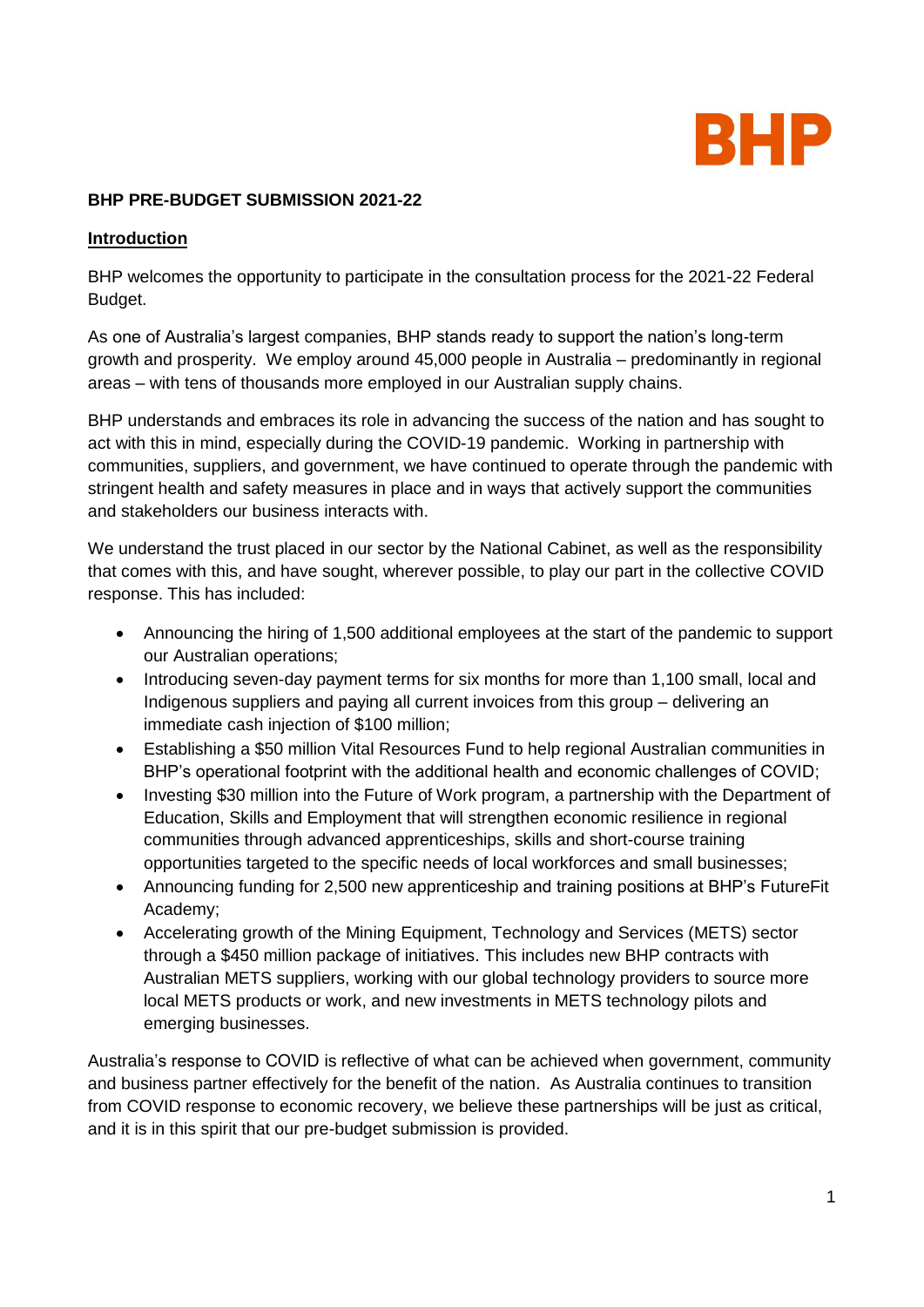

#### **BHP PRE-BUDGET SUBMISSION 2021-22**

#### **Introduction**

BHP welcomes the opportunity to participate in the consultation process for the 2021-22 Federal Budget.

As one of Australia's largest companies, BHP stands ready to support the nation's long-term growth and prosperity. We employ around 45,000 people in Australia – predominantly in regional areas – with tens of thousands more employed in our Australian supply chains.

BHP understands and embraces its role in advancing the success of the nation and has sought to act with this in mind, especially during the COVID-19 pandemic. Working in partnership with communities, suppliers, and government, we have continued to operate through the pandemic with stringent health and safety measures in place and in ways that actively support the communities and stakeholders our business interacts with.

We understand the trust placed in our sector by the National Cabinet, as well as the responsibility that comes with this, and have sought, wherever possible, to play our part in the collective COVID response. This has included:

- Announcing the hiring of 1,500 additional employees at the start of the pandemic to support our Australian operations;
- Introducing seven-day payment terms for six months for more than 1,100 small, local and Indigenous suppliers and paying all current invoices from this group – delivering an immediate cash injection of \$100 million;
- Establishing a \$50 million Vital Resources Fund to help regional Australian communities in BHP's operational footprint with the additional health and economic challenges of COVID;
- Investing \$30 million into the Future of Work program, a partnership with the Department of Education, Skills and Employment that will strengthen economic resilience in regional communities through advanced apprenticeships, skills and short-course training opportunities targeted to the specific needs of local workforces and small businesses;
- Announcing funding for 2,500 new apprenticeship and training positions at BHP's FutureFit Academy;
- Accelerating growth of the Mining Equipment, Technology and Services (METS) sector through a \$450 million package of initiatives. This includes new BHP contracts with Australian METS suppliers, working with our global technology providers to source more local METS products or work, and new investments in METS technology pilots and emerging businesses.

Australia's response to COVID is reflective of what can be achieved when government, community and business partner effectively for the benefit of the nation. As Australia continues to transition from COVID response to economic recovery, we believe these partnerships will be just as critical, and it is in this spirit that our pre-budget submission is provided.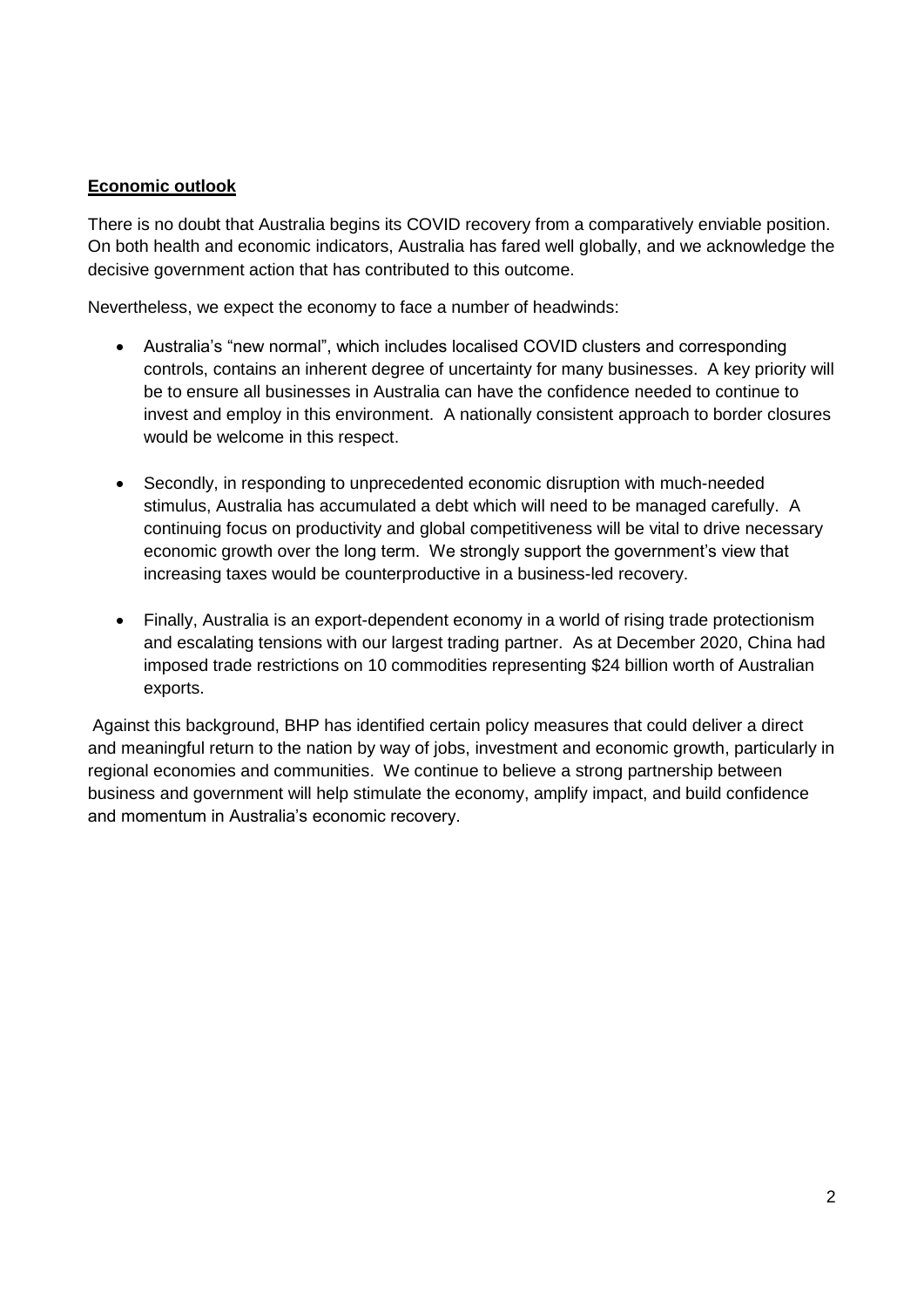## **Economic outlook**

There is no doubt that Australia begins its COVID recovery from a comparatively enviable position. On both health and economic indicators, Australia has fared well globally, and we acknowledge the decisive government action that has contributed to this outcome.

Nevertheless, we expect the economy to face a number of headwinds:

- Australia's "new normal", which includes localised COVID clusters and corresponding controls, contains an inherent degree of uncertainty for many businesses. A key priority will be to ensure all businesses in Australia can have the confidence needed to continue to invest and employ in this environment. A nationally consistent approach to border closures would be welcome in this respect.
- Secondly, in responding to unprecedented economic disruption with much-needed stimulus, Australia has accumulated a debt which will need to be managed carefully. A continuing focus on productivity and global competitiveness will be vital to drive necessary economic growth over the long term. We strongly support the government's view that increasing taxes would be counterproductive in a business-led recovery.
- Finally, Australia is an export-dependent economy in a world of rising trade protectionism and escalating tensions with our largest trading partner. As at December 2020, China had imposed trade restrictions on 10 commodities representing \$24 billion worth of Australian exports.

Against this background, BHP has identified certain policy measures that could deliver a direct and meaningful return to the nation by way of jobs, investment and economic growth, particularly in regional economies and communities. We continue to believe a strong partnership between business and government will help stimulate the economy, amplify impact, and build confidence and momentum in Australia's economic recovery.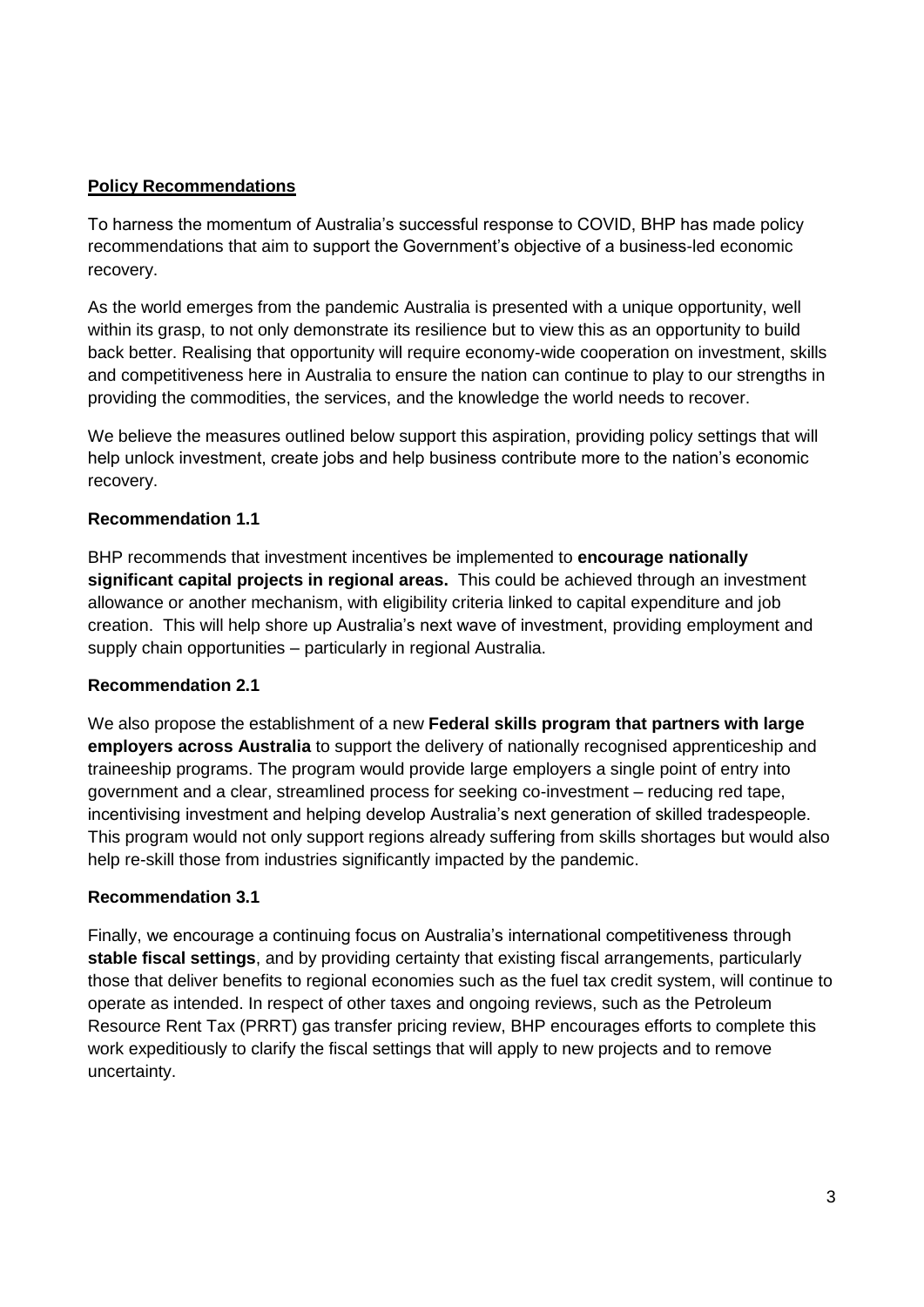## **Policy Recommendations**

To harness the momentum of Australia's successful response to COVID, BHP has made policy recommendations that aim to support the Government's objective of a business-led economic recovery.

As the world emerges from the pandemic Australia is presented with a unique opportunity, well within its grasp, to not only demonstrate its resilience but to view this as an opportunity to build back better. Realising that opportunity will require economy-wide cooperation on investment, skills and competitiveness here in Australia to ensure the nation can continue to play to our strengths in providing the commodities, the services, and the knowledge the world needs to recover.

We believe the measures outlined below support this aspiration, providing policy settings that will help unlock investment, create jobs and help business contribute more to the nation's economic recovery.

#### **Recommendation 1.1**

BHP recommends that investment incentives be implemented to **encourage nationally significant capital projects in regional areas.** This could be achieved through an investment allowance or another mechanism, with eligibility criteria linked to capital expenditure and job creation. This will help shore up Australia's next wave of investment, providing employment and supply chain opportunities – particularly in regional Australia.

#### **Recommendation 2.1**

We also propose the establishment of a new **Federal skills program that partners with large employers across Australia** to support the delivery of nationally recognised apprenticeship and traineeship programs. The program would provide large employers a single point of entry into government and a clear, streamlined process for seeking co-investment – reducing red tape, incentivising investment and helping develop Australia's next generation of skilled tradespeople. This program would not only support regions already suffering from skills shortages but would also help re-skill those from industries significantly impacted by the pandemic.

#### **Recommendation 3.1**

Finally, we encourage a continuing focus on Australia's international competitiveness through **stable fiscal settings**, and by providing certainty that existing fiscal arrangements, particularly those that deliver benefits to regional economies such as the fuel tax credit system, will continue to operate as intended. In respect of other taxes and ongoing reviews, such as the Petroleum Resource Rent Tax (PRRT) gas transfer pricing review, BHP encourages efforts to complete this work expeditiously to clarify the fiscal settings that will apply to new projects and to remove uncertainty.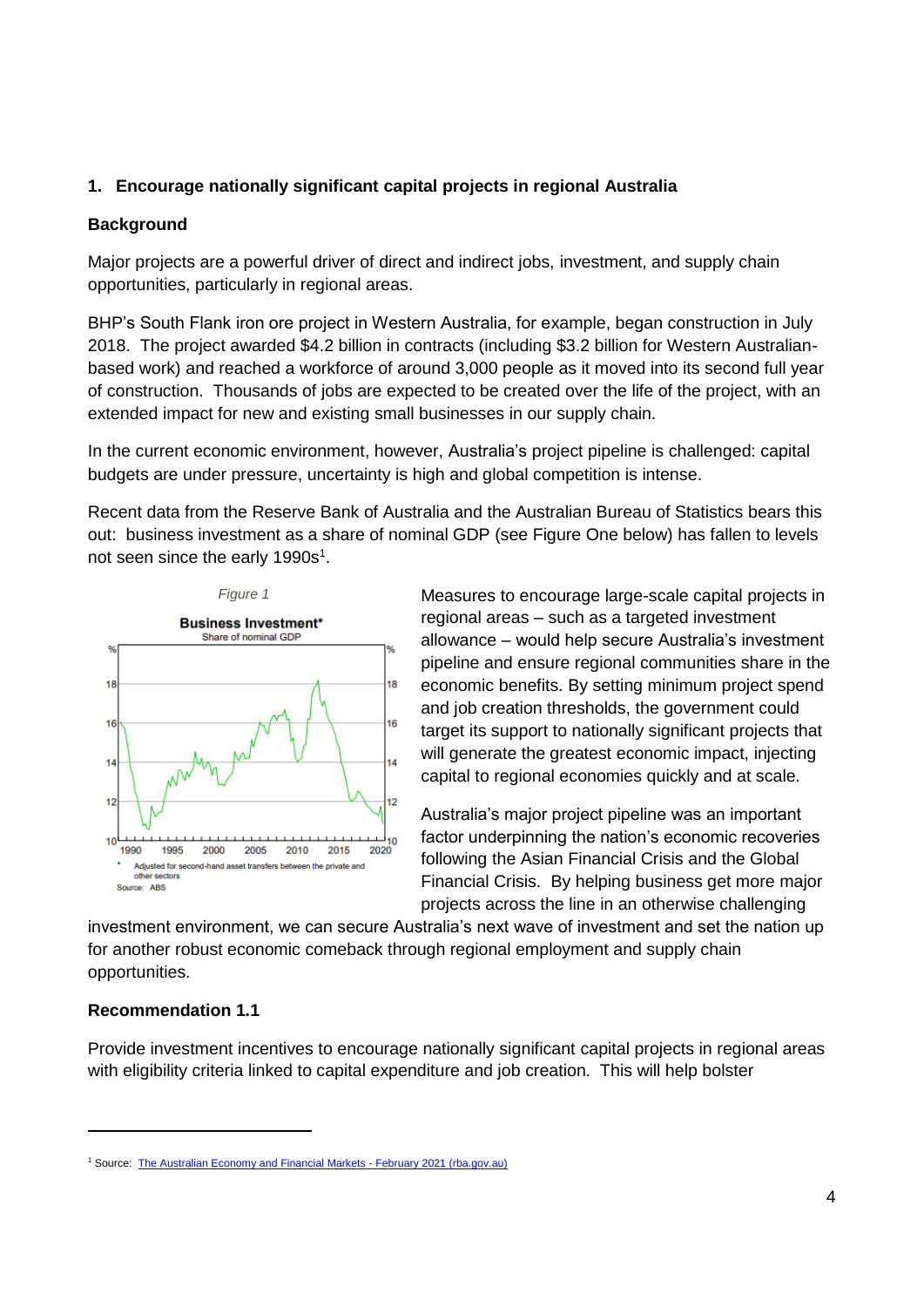## **1. Encourage nationally significant capital projects in regional Australia**

#### **Background**

Major projects are a powerful driver of direct and indirect jobs, investment, and supply chain opportunities, particularly in regional areas.

BHP's South Flank iron ore project in Western Australia, for example, began construction in July 2018. The project awarded \$4.2 billion in contracts (including \$3.2 billion for Western Australianbased work) and reached a workforce of around 3,000 people as it moved into its second full year of construction. Thousands of jobs are expected to be created over the life of the project, with an extended impact for new and existing small businesses in our supply chain.

In the current economic environment, however, Australia's project pipeline is challenged: capital budgets are under pressure, uncertainty is high and global competition is intense.

Recent data from the Reserve Bank of Australia and the Australian Bureau of Statistics bears this out: business investment as a share of nominal GDP (see Figure One below) has fallen to levels not seen since the early 1990s<sup>1</sup>.



Measures to encourage large-scale capital projects in regional areas – such as a targeted investment allowance – would help secure Australia's investment pipeline and ensure regional communities share in the economic benefits. By setting minimum project spend and job creation thresholds, the government could target its support to nationally significant projects that will generate the greatest economic impact, injecting capital to regional economies quickly and at scale.

Australia's major project pipeline was an important factor underpinning the nation's economic recoveries following the Asian Financial Crisis and the Global Financial Crisis. By helping business get more major projects across the line in an otherwise challenging

investment environment, we can secure Australia's next wave of investment and set the nation up for another robust economic comeback through regional employment and supply chain opportunities.

## **Recommendation 1.1**

-

Provide investment incentives to encourage nationally significant capital projects in regional areas with eligibility criteria linked to capital expenditure and job creation. This will help bolster

<sup>&</sup>lt;sup>1</sup> Source: [The Australian Economy and Financial Markets -](https://www.rba.gov.au/chart-pack/pdf/chart-pack.pdf?v=2021-02-10-06-09-59) February 2021 (rba.gov.au)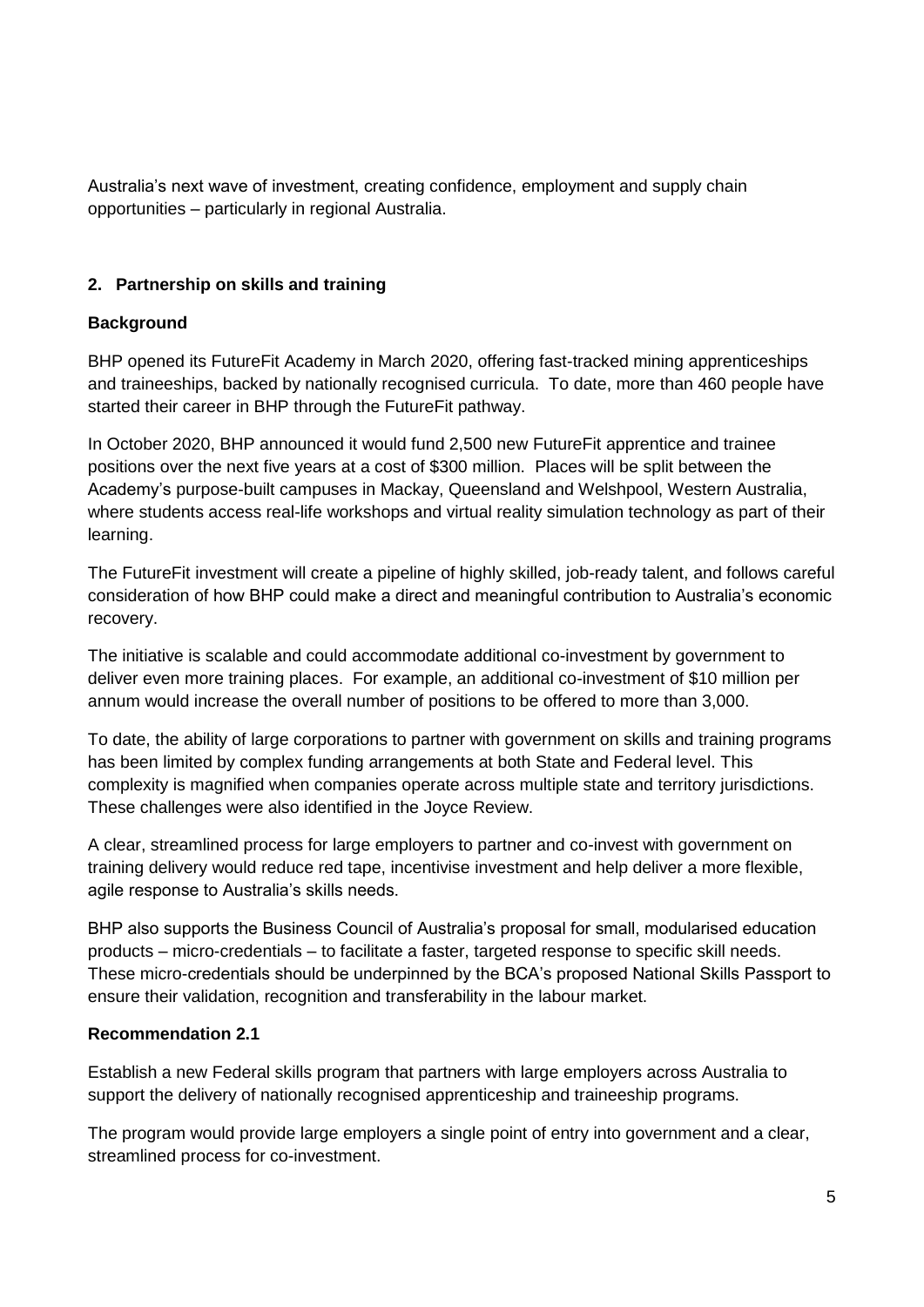Australia's next wave of investment, creating confidence, employment and supply chain opportunities – particularly in regional Australia.

# **2. Partnership on skills and training**

## **Background**

BHP opened its FutureFit Academy in March 2020, offering fast-tracked mining apprenticeships and traineeships, backed by nationally recognised curricula. To date, more than 460 people have started their career in BHP through the FutureFit pathway.

In October 2020, BHP announced it would fund 2,500 new FutureFit apprentice and trainee positions over the next five years at a cost of \$300 million. Places will be split between the Academy's purpose-built campuses in Mackay, Queensland and Welshpool, Western Australia, where students access real-life workshops and virtual reality simulation technology as part of their learning.

The FutureFit investment will create a pipeline of highly skilled, job-ready talent, and follows careful consideration of how BHP could make a direct and meaningful contribution to Australia's economic recovery.

The initiative is scalable and could accommodate additional co-investment by government to deliver even more training places. For example, an additional co-investment of \$10 million per annum would increase the overall number of positions to be offered to more than 3,000.

To date, the ability of large corporations to partner with government on skills and training programs has been limited by complex funding arrangements at both State and Federal level. This complexity is magnified when companies operate across multiple state and territory jurisdictions. These challenges were also identified in the Joyce Review.

A clear, streamlined process for large employers to partner and co-invest with government on training delivery would reduce red tape, incentivise investment and help deliver a more flexible, agile response to Australia's skills needs.

BHP also supports the Business Council of Australia's proposal for small, modularised education products – micro-credentials – to facilitate a faster, targeted response to specific skill needs. These micro-credentials should be underpinned by the BCA's proposed National Skills Passport to ensure their validation, recognition and transferability in the labour market.

## **Recommendation 2.1**

Establish a new Federal skills program that partners with large employers across Australia to support the delivery of nationally recognised apprenticeship and traineeship programs.

The program would provide large employers a single point of entry into government and a clear, streamlined process for co-investment.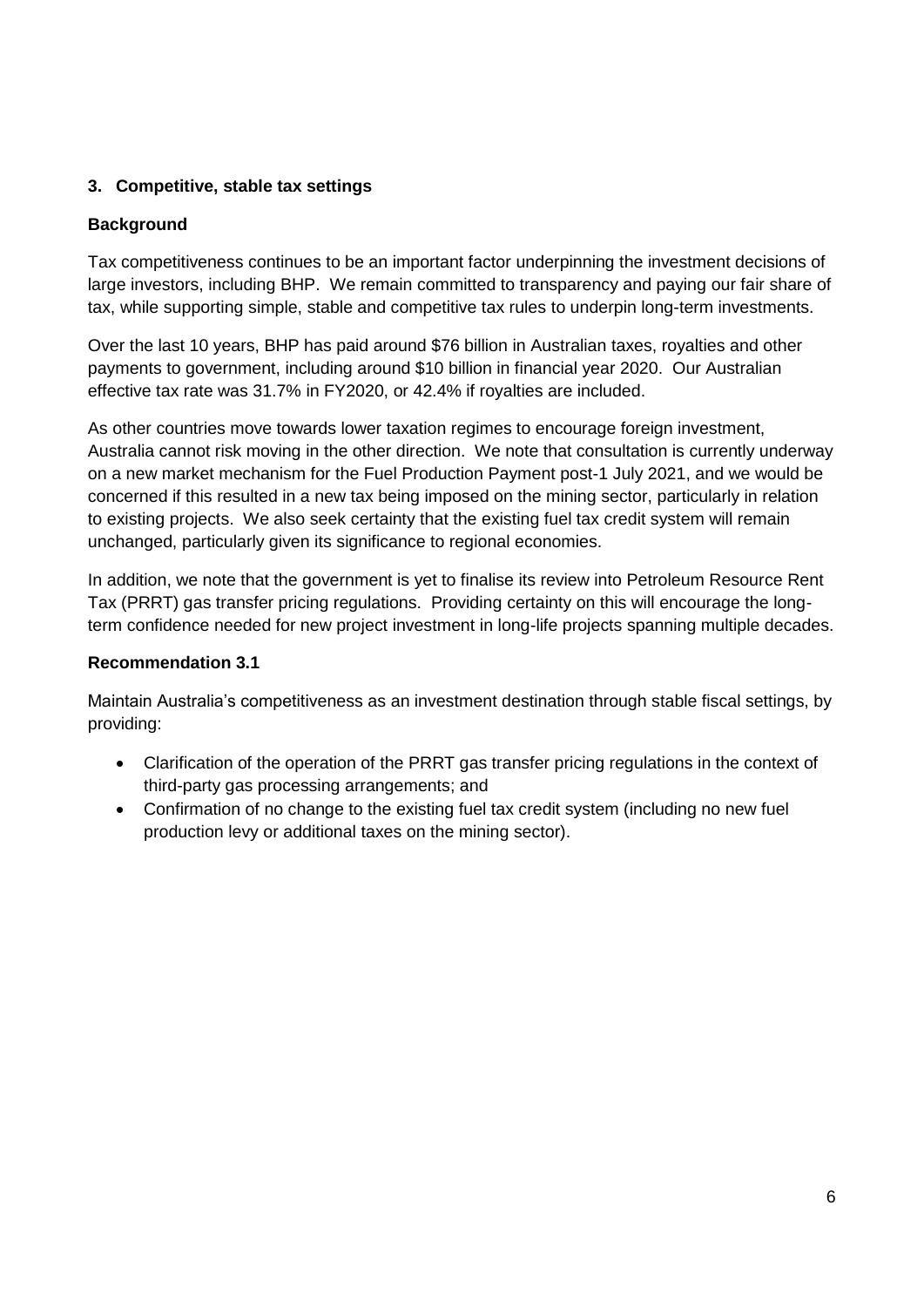# **3. Competitive, stable tax settings**

## **Background**

Tax competitiveness continues to be an important factor underpinning the investment decisions of large investors, including BHP. We remain committed to transparency and paying our fair share of tax, while supporting simple, stable and competitive tax rules to underpin long-term investments.

Over the last 10 years, BHP has paid around \$76 billion in Australian taxes, royalties and other payments to government, including around \$10 billion in financial year 2020. Our Australian effective tax rate was 31.7% in FY2020, or 42.4% if royalties are included.

As other countries move towards lower taxation regimes to encourage foreign investment, Australia cannot risk moving in the other direction. We note that consultation is currently underway on a new market mechanism for the Fuel Production Payment post-1 July 2021, and we would be concerned if this resulted in a new tax being imposed on the mining sector, particularly in relation to existing projects. We also seek certainty that the existing fuel tax credit system will remain unchanged, particularly given its significance to regional economies.

In addition, we note that the government is yet to finalise its review into Petroleum Resource Rent Tax (PRRT) gas transfer pricing regulations. Providing certainty on this will encourage the longterm confidence needed for new project investment in long-life projects spanning multiple decades.

## **Recommendation 3.1**

Maintain Australia's competitiveness as an investment destination through stable fiscal settings, by providing:

- Clarification of the operation of the PRRT gas transfer pricing regulations in the context of third-party gas processing arrangements; and
- Confirmation of no change to the existing fuel tax credit system (including no new fuel production levy or additional taxes on the mining sector).